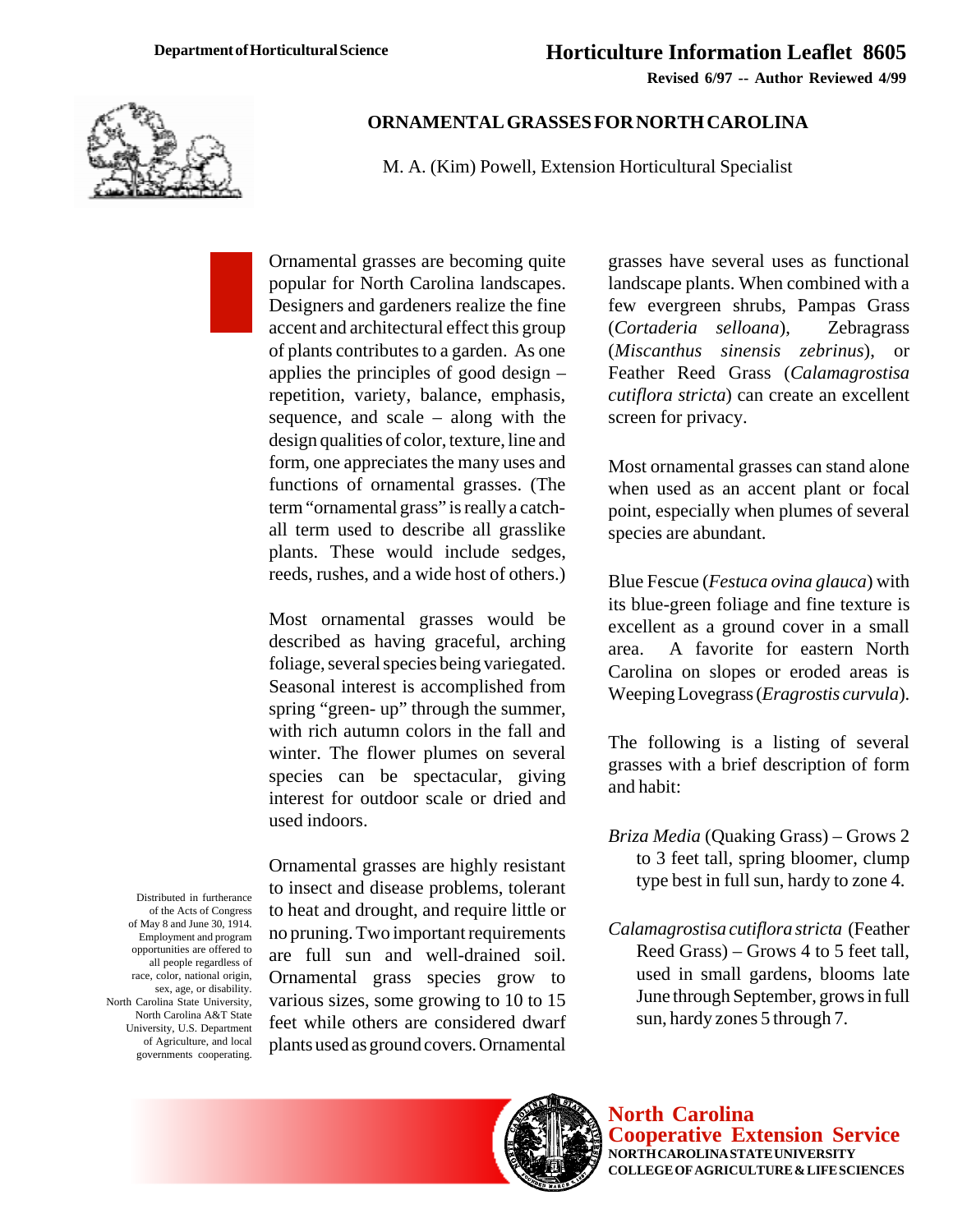**Revised 6/97 -- Author Reviewed 4/99**



## **ORNAMENTAL GRASSES FOR NORTH CAROLINA**

M. A. (Kim) Powell, Extension Horticultural Specialist

Ornamental grasses are becoming quite popular for North Carolina landscapes. Designers and gardeners realize the fine accent and architectural effect this group of plants contributes to a garden. As one applies the principles of good design – repetition, variety, balance, emphasis, sequence, and scale – along with the design qualities of color, texture, line and form, one appreciates the many uses and functions of ornamental grasses. (The term "ornamental grass" is really a catchall term used to describe all grasslike plants. These would include sedges, reeds, rushes, and a wide host of others.)

Most ornamental grasses would be described as having graceful, arching foliage, several species being variegated. Seasonal interest is accomplished from spring "green- up" through the summer, with rich autumn colors in the fall and winter. The flower plumes on several species can be spectacular, giving interest for outdoor scale or dried and used indoors.

Distributed in furtherance of the Acts of Congress of May 8 and June 30, 1914. Employment and program opportunities are offered to all people regardless of race, color, national origin, sex, age, or disability. North Carolina State University, North Carolina A&T State University, U.S. Department of Agriculture, and local governments cooperating.

Ornamental grasses are highly resistant to insect and disease problems, tolerant to heat and drought, and require little or no pruning. Two important requirements are full sun and well-drained soil. Ornamental grass species grow to various sizes, some growing to 10 to 15 feet while others are considered dwarf plants used as ground covers. Ornamental grasses have several uses as functional landscape plants. When combined with a few evergreen shrubs, Pampas Grass (*Cortaderia selloana*), Zebragrass (*Miscanthus sinensis zebrinus*), or Feather Reed Grass (*Calamagrostisa cutiflora stricta*) can create an excellent screen for privacy.

Most ornamental grasses can stand alone when used as an accent plant or focal point, especially when plumes of several species are abundant.

Blue Fescue (*Festuca ovina glauca*) with its blue-green foliage and fine texture is excellent as a ground cover in a small area. A favorite for eastern North Carolina on slopes or eroded areas is Weeping Lovegrass (*Eragrostis curvula*).

The following is a listing of several grasses with a brief description of form and habit:

- *Briza Media* (Quaking Grass) Grows 2 to 3 feet tall, spring bloomer, clump type best in full sun, hardy to zone 4.
- *Calamagrostisa cutiflora stricta* (Feather Reed Grass) – Grows 4 to 5 feet tall, used in small gardens, blooms late June through September, grows in full sun, hardy zones 5 through 7.



**North Carolina Cooperative Extension Service NORTH CAROLINA STATE UNIVERSITY COLLEGE OF AGRICULTURE & LIFE SCIENCES**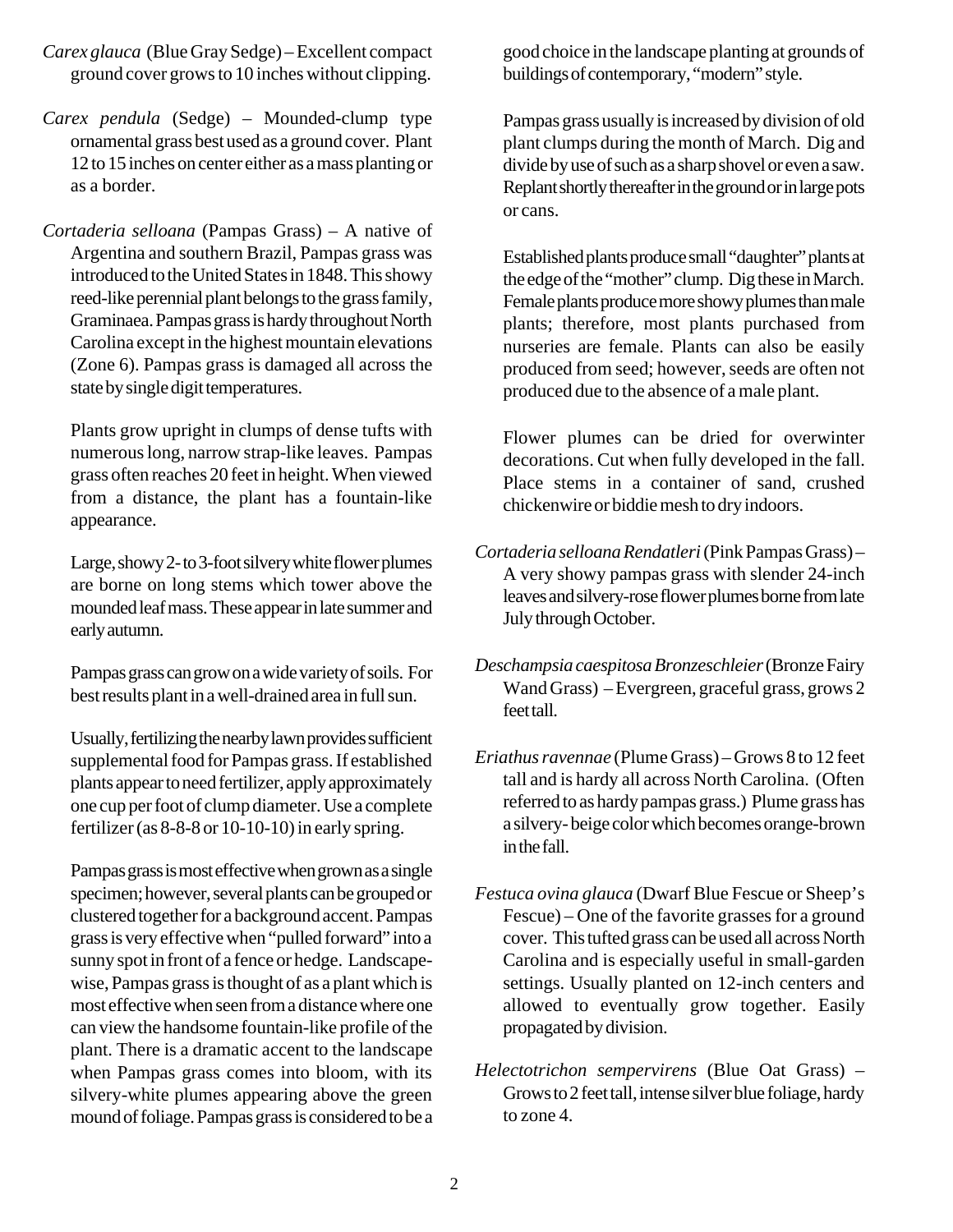- *Carex glauca* (Blue Gray Sedge) Excellent compact ground cover grows to 10 inches without clipping.
- *Carex pendula* (Sedge) Mounded-clump type ornamental grass best used as a ground cover. Plant 12 to 15 inches on center either as a mass planting or as a border.
- *Cortaderia selloana* (Pampas Grass) A native of Argentina and southern Brazil, Pampas grass was introduced to the United States in 1848. This showy reed-like perennial plant belongs to the grass family, Graminaea. Pampas grass is hardy throughout North Carolina except in the highest mountain elevations (Zone 6). Pampas grass is damaged all across the state by single digit temperatures.

Plants grow upright in clumps of dense tufts with numerous long, narrow strap-like leaves. Pampas grass often reaches 20 feet in height. When viewed from a distance, the plant has a fountain-like appearance.

Large, showy 2- to 3-foot silvery white flower plumes are borne on long stems which tower above the mounded leaf mass. These appear in late summer and early autumn.

Pampas grass can grow on a wide variety of soils. For best results plant in a well-drained area in full sun.

Usually, fertilizing the nearby lawn provides sufficient supplemental food for Pampas grass. If established plants appear to need fertilizer, apply approximately one cup per foot of clump diameter. Use a complete fertilizer (as 8-8-8 or 10-10-10) in early spring.

Pampas grass is most effective when grown as a single specimen; however, several plants can be grouped or clustered together for a background accent. Pampas grass is very effective when "pulled forward" into a sunny spot in front of a fence or hedge. Landscapewise, Pampas grass is thought of as a plant which is most effective when seen from a distance where one can view the handsome fountain-like profile of the plant. There is a dramatic accent to the landscape when Pampas grass comes into bloom, with its silvery-white plumes appearing above the green mound of foliage. Pampas grass is considered to be a

good choice in the landscape planting at grounds of buildings of contemporary, "modern" style.

Pampas grass usually is increased by division of old plant clumps during the month of March. Dig and divide by use of such as a sharp shovel or even a saw. Replant shortly thereafter in the ground or in large pots or cans.

Established plants produce small "daughter" plants at the edge of the "mother" clump. Dig these in March. Female plants produce more showy plumes than male plants; therefore, most plants purchased from nurseries are female. Plants can also be easily produced from seed; however, seeds are often not produced due to the absence of a male plant.

Flower plumes can be dried for overwinter decorations. Cut when fully developed in the fall. Place stems in a container of sand, crushed chickenwire or biddie mesh to dry indoors.

- *Cortaderia selloana Rendatleri* (Pink Pampas Grass) A very showy pampas grass with slender 24-inch leaves and silvery-rose flower plumes borne from late July through October.
- *Deschampsia caespitosa Bronzeschleier* (Bronze Fairy Wand Grass) – Evergreen, graceful grass, grows 2 feet tall.
- *Eriathus ravennae* (Plume Grass) Grows 8 to 12 feet tall and is hardy all across North Carolina. (Often referred to as hardy pampas grass.) Plume grass has a silvery- beige color which becomes orange-brown in the fall.
- *Festuca ovina glauca* (Dwarf Blue Fescue or Sheep's Fescue) – One of the favorite grasses for a ground cover. This tufted grass can be used all across North Carolina and is especially useful in small-garden settings. Usually planted on 12-inch centers and allowed to eventually grow together. Easily propagated by division.
- *Helectotrichon sempervirens* (Blue Oat Grass) Grows to 2 feet tall, intense silver blue foliage, hardy to zone 4.